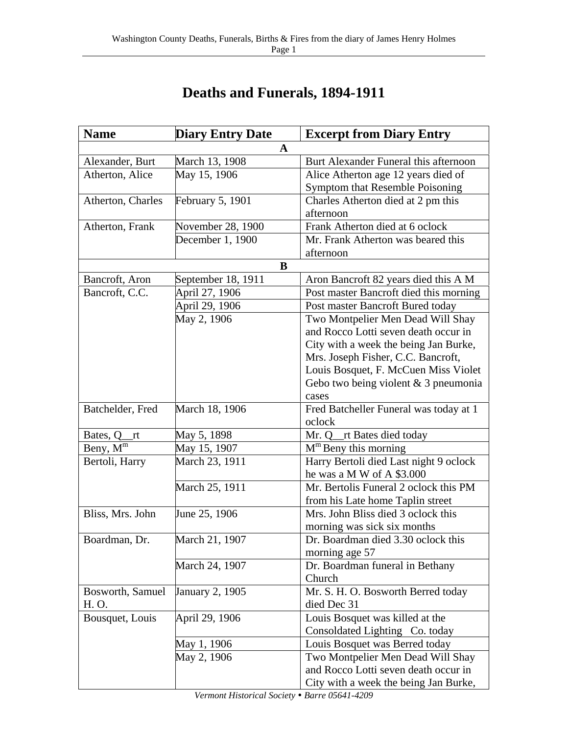| <b>Name</b>               | <b>Diary Entry Date</b> | <b>Excerpt from Diary Entry</b>        |  |
|---------------------------|-------------------------|----------------------------------------|--|
| A                         |                         |                                        |  |
| Alexander, Burt           | March 13, 1908          | Burt Alexander Funeral this afternoon  |  |
| Atherton, Alice           | May 15, 1906            | Alice Atherton age 12 years died of    |  |
|                           |                         | Symptom that Resemble Poisoning        |  |
| Atherton, Charles         | <b>February 5, 1901</b> | Charles Atherton died at 2 pm this     |  |
|                           |                         | afternoon                              |  |
| Atherton, Frank           | November 28, 1900       | Frank Atherton died at 6 oclock        |  |
|                           | December 1, 1900        | Mr. Frank Atherton was beared this     |  |
|                           |                         | afternoon                              |  |
|                           | B                       |                                        |  |
| Bancroft, Aron            | September 18, 1911      | Aron Bancroft 82 years died this A M   |  |
| Bancroft, C.C.            | April 27, 1906          | Post master Bancroft died this morning |  |
|                           | April 29, 1906          | Post master Bancroft Bured today       |  |
|                           | May 2, 1906             | Two Montpelier Men Dead Will Shay      |  |
|                           |                         | and Rocco Lotti seven death occur in   |  |
|                           |                         | City with a week the being Jan Burke,  |  |
|                           |                         | Mrs. Joseph Fisher, C.C. Bancroft,     |  |
|                           |                         | Louis Bosquet, F. McCuen Miss Violet   |  |
|                           |                         | Gebo two being violent $& 3$ pneumonia |  |
|                           |                         | cases                                  |  |
| Batchelder, Fred          | March 18, 1906          | Fred Batcheller Funeral was today at 1 |  |
|                           |                         | oclock                                 |  |
| Bates, Q<br><sub>rt</sub> | May 5, 1898             | Mr. Q_rt Bates died today              |  |
| Beny, $\overline{M^m}$    | May 15, 1907            | $Mm$ Beny this morning                 |  |
| Bertoli, Harry            | March 23, 1911          | Harry Bertoli died Last night 9 oclock |  |
|                           |                         | he was a M W of A \$3.000              |  |
|                           | March 25, 1911          | Mr. Bertolis Funeral 2 oclock this PM  |  |
|                           |                         | from his Late home Taplin street       |  |
| Bliss, Mrs. John          | June 25, 1906           | Mrs. John Bliss died 3 oclock this     |  |
|                           |                         | morning was sick six months            |  |
| Boardman, Dr.             | March 21, 1907          | Dr. Boardman died 3.30 oclock this     |  |
|                           |                         | morning age 57                         |  |
|                           | March 24, 1907          | Dr. Boardman funeral in Bethany        |  |
|                           |                         | Church                                 |  |
| Bosworth, Samuel          | January 2, 1905         | Mr. S. H. O. Bosworth Berred today     |  |
| H. O.                     |                         | died Dec 31                            |  |
| Bousquet, Louis           | April 29, 1906          | Louis Bosquet was killed at the        |  |
|                           |                         | Consoldated Lighting Co. today         |  |
|                           | May 1, 1906             | Louis Bosquet was Berred today         |  |
|                           | May 2, 1906             | Two Montpelier Men Dead Will Shay      |  |
|                           |                         | and Rocco Lotti seven death occur in   |  |
|                           |                         | City with a week the being Jan Burke,  |  |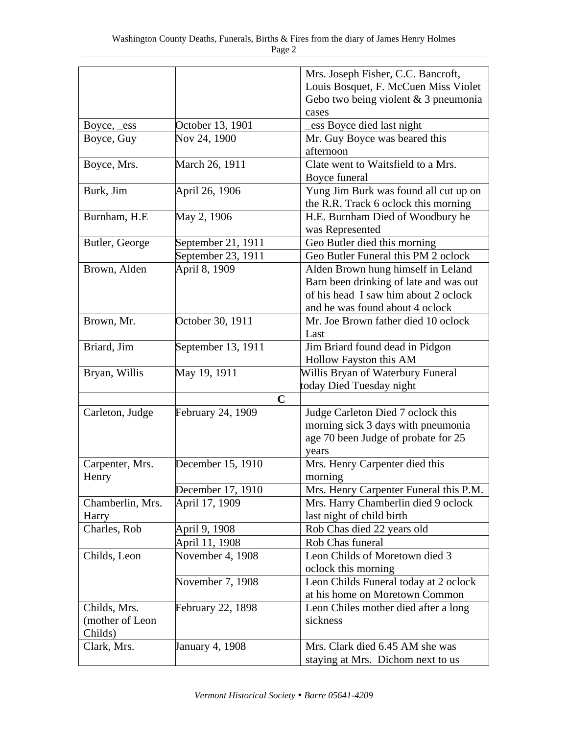|                  |                    | Mrs. Joseph Fisher, C.C. Bancroft,     |
|------------------|--------------------|----------------------------------------|
|                  |                    | Louis Bosquet, F. McCuen Miss Violet   |
|                  |                    | Gebo two being violent $& 3$ pneumonia |
|                  |                    | cases                                  |
| Boyce, _ess      | October 13, 1901   | ess Boyce died last night              |
| Boyce, Guy       | Nov 24, 1900       | Mr. Guy Boyce was beared this          |
|                  |                    | afternoon                              |
| Boyce, Mrs.      | March 26, 1911     | Clate went to Waitsfield to a Mrs.     |
|                  |                    | Boyce funeral                          |
| Burk, Jim        | April 26, 1906     | Yung Jim Burk was found all cut up on  |
|                  |                    | the R.R. Track 6 oclock this morning   |
| Burnham, H.E.    | May 2, 1906        | H.E. Burnham Died of Woodbury he       |
|                  |                    | was Represented                        |
| Butler, George   | September 21, 1911 | Geo Butler died this morning           |
|                  | September 23, 1911 | Geo Butler Funeral this PM 2 oclock    |
| Brown, Alden     | April 8, 1909      | Alden Brown hung himself in Leland     |
|                  |                    | Barn been drinking of late and was out |
|                  |                    | of his head I saw him about 2 oclock   |
|                  |                    | and he was found about 4 oclock        |
| Brown, Mr.       | October 30, 1911   | Mr. Joe Brown father died 10 oclock    |
|                  |                    | Last                                   |
|                  |                    |                                        |
| Briard, Jim      | September 13, 1911 | Jim Briard found dead in Pidgon        |
|                  |                    | Hollow Fayston this AM                 |
| Bryan, Willis    | May 19, 1911       | Willis Bryan of Waterbury Funeral      |
|                  |                    | today Died Tuesday night               |
|                  | $\mathbf C$        |                                        |
| Carleton, Judge  | February 24, 1909  | Judge Carleton Died 7 oclock this      |
|                  |                    | morning sick 3 days with pneumonia     |
|                  |                    | age 70 been Judge of probate for 25    |
|                  |                    | years                                  |
| Carpenter, Mrs.  | December 15, 1910  | Mrs. Henry Carpenter died this         |
| Henry            |                    | morning                                |
|                  | December 17, 1910  | Mrs. Henry Carpenter Funeral this P.M. |
| Chamberlin, Mrs. | April 17, 1909     | Mrs. Harry Chamberlin died 9 oclock    |
| Harry            |                    | last night of child birth              |
| Charles, Rob     | April 9, 1908      | Rob Chas died 22 years old             |
|                  | April 11, 1908     | Rob Chas funeral                       |
| Childs, Leon     | November 4, 1908   | Leon Childs of Moretown died 3         |
|                  |                    | oclock this morning                    |
|                  | November 7, 1908   | Leon Childs Funeral today at 2 oclock  |
|                  |                    | at his home on Moretown Common         |
| Childs, Mrs.     | February 22, 1898  | Leon Chiles mother died after a long   |
| (mother of Leon  |                    | sickness                               |
| Childs)          |                    |                                        |
| Clark, Mrs.      | January 4, 1908    | Mrs. Clark died 6.45 AM she was        |
|                  |                    | staying at Mrs. Dichom next to us      |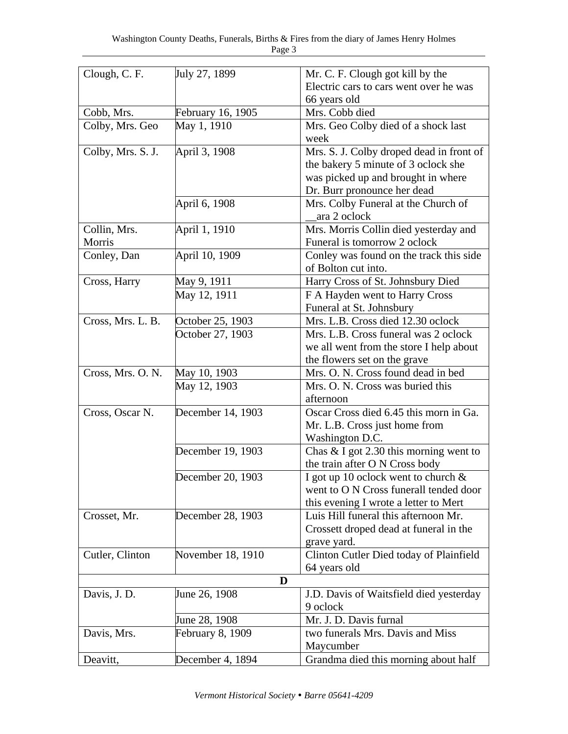| Clough, C. F.     | July 27, 1899     | Mr. C. F. Clough got kill by the         |
|-------------------|-------------------|------------------------------------------|
|                   |                   | Electric cars to cars went over he was   |
|                   |                   | 66 years old                             |
| Cobb, Mrs.        | February 16, 1905 | Mrs. Cobb died                           |
| Colby, Mrs. Geo   | May 1, 1910       | Mrs. Geo Colby died of a shock last      |
|                   |                   | week                                     |
| Colby, Mrs. S. J. | April 3, 1908     | Mrs. S. J. Colby droped dead in front of |
|                   |                   | the bakery 5 minute of 3 oclock she      |
|                   |                   | was picked up and brought in where       |
|                   |                   | Dr. Burr pronounce her dead              |
|                   | April 6, 1908     | Mrs. Colby Funeral at the Church of      |
|                   |                   | ara 2 oclock                             |
| Collin, Mrs.      | April 1, 1910     | Mrs. Morris Collin died yesterday and    |
| Morris            |                   | Funeral is tomorrow 2 oclock             |
| Conley, Dan       | April 10, 1909    | Conley was found on the track this side  |
|                   |                   | of Bolton cut into.                      |
| Cross, Harry      | May 9, 1911       | Harry Cross of St. Johnsbury Died        |
|                   | May 12, 1911      | F A Hayden went to Harry Cross           |
|                   |                   | Funeral at St. Johnsbury                 |
| Cross, Mrs. L. B. | October 25, 1903  | Mrs. L.B. Cross died 12.30 oclock        |
|                   | October 27, 1903  | Mrs. L.B. Cross funeral was 2 oclock     |
|                   |                   | we all went from the store I help about  |
|                   |                   | the flowers set on the grave             |
| Cross, Mrs. O. N. | May 10, 1903      | Mrs. O. N. Cross found dead in bed       |
|                   | May 12, 1903      | Mrs. O. N. Cross was buried this         |
|                   |                   | afternoon                                |
| Cross, Oscar N.   | December 14, 1903 | Oscar Cross died 6.45 this morn in Ga.   |
|                   |                   | Mr. L.B. Cross just home from            |
|                   |                   | Washington D.C.                          |
|                   | December 19, 1903 | Chas & I got 2.30 this morning went to   |
|                   |                   | the train after O N Cross body           |
|                   | December 20, 1903 | I got up 10 oclock went to church $\&$   |
|                   |                   | went to O N Cross funerall tended door   |
|                   |                   | this evening I wrote a letter to Mert    |
| Crosset, Mr.      | December 28, 1903 | Luis Hill funeral this afternoon Mr.     |
|                   |                   | Crossett droped dead at funeral in the   |
|                   |                   | grave yard.                              |
| Cutler, Clinton   | November 18, 1910 | Clinton Cutler Died today of Plainfield  |
|                   |                   | 64 years old                             |
|                   | D                 |                                          |
| Davis, J. D.      | June 26, 1908     | J.D. Davis of Waitsfield died yesterday  |
|                   |                   | 9 oclock                                 |
|                   | June 28, 1908     | Mr. J. D. Davis furnal                   |
| Davis, Mrs.       | February 8, 1909  | two funerals Mrs. Davis and Miss         |
|                   |                   | Maycumber                                |
| Deavitt,          | December 4, 1894  | Grandma died this morning about half     |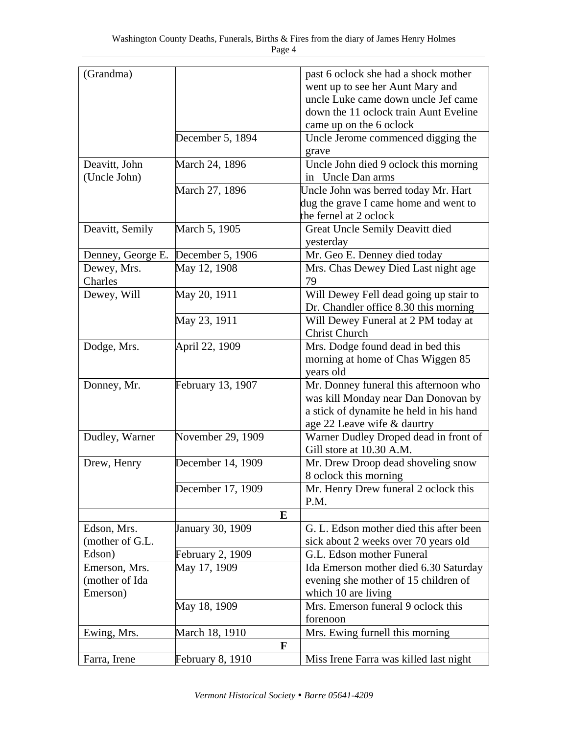| (Grandma)         |                         | past 6 oclock she had a shock mother    |
|-------------------|-------------------------|-----------------------------------------|
|                   |                         | went up to see her Aunt Mary and        |
|                   |                         | uncle Luke came down uncle Jef came     |
|                   |                         | down the 11 oclock train Aunt Eveline   |
|                   |                         | came up on the 6 oclock                 |
|                   | December 5, 1894        |                                         |
|                   |                         | Uncle Jerome commenced digging the      |
|                   |                         | grave                                   |
| Deavitt, John     | March 24, 1896          | Uncle John died 9 oclock this morning   |
| (Uncle John)      |                         | in Uncle Dan arms                       |
|                   | March 27, 1896          | Uncle John was berred today Mr. Hart    |
|                   |                         | dug the grave I came home and went to   |
|                   |                         | the fernel at 2 oclock                  |
| Deavitt, Semily   | March 5, 1905           | Great Uncle Semily Deavitt died         |
|                   |                         | yesterday                               |
| Denney, George E. | December 5, 1906        | Mr. Geo E. Denney died today            |
| Dewey, Mrs.       | May 12, 1908            | Mrs. Chas Dewey Died Last night age     |
| Charles           |                         | 79                                      |
| Dewey, Will       | May 20, 1911            | Will Dewey Fell dead going up stair to  |
|                   |                         | Dr. Chandler office 8.30 this morning   |
|                   | May 23, 1911            | Will Dewey Funeral at 2 PM today at     |
|                   |                         | <b>Christ Church</b>                    |
|                   |                         |                                         |
| Dodge, Mrs.       | April 22, 1909          | Mrs. Dodge found dead in bed this       |
|                   |                         | morning at home of Chas Wiggen 85       |
|                   |                         | years old                               |
| Donney, Mr.       | February 13, 1907       | Mr. Donney funeral this afternoon who   |
|                   |                         | was kill Monday near Dan Donovan by     |
|                   |                         | a stick of dynamite he held in his hand |
|                   |                         | age 22 Leave wife & daurtry             |
| Dudley, Warner    | November 29, 1909       | Warner Dudley Droped dead in front of   |
|                   |                         | Gill store at 10.30 A.M.                |
| Drew, Henry       | December 14, 1909       | Mr. Drew Droop dead shoveling snow      |
|                   |                         | 8 oclock this morning                   |
|                   | December 17, 1909       | Mr. Henry Drew funeral 2 oclock this    |
|                   |                         | P.M.                                    |
|                   | E                       |                                         |
| Edson, Mrs.       | January 30, 1909        | G. L. Edson mother died this after been |
| (mother of G.L.   |                         | sick about 2 weeks over 70 years old    |
| Edson)            |                         |                                         |
|                   | <b>February 2, 1909</b> | G.L. Edson mother Funeral               |
| Emerson, Mrs.     | May 17, 1909            | Ida Emerson mother died 6.30 Saturday   |
| (mother of Ida    |                         | evening she mother of 15 children of    |
| Emerson)          |                         | which 10 are living                     |
|                   | May 18, 1909            | Mrs. Emerson funeral 9 oclock this      |
|                   |                         | forenoon                                |
| Ewing, Mrs.       | March 18, 1910          | Mrs. Ewing furnell this morning         |
|                   | F                       |                                         |
| Farra, Irene      | <b>February 8, 1910</b> | Miss Irene Farra was killed last night  |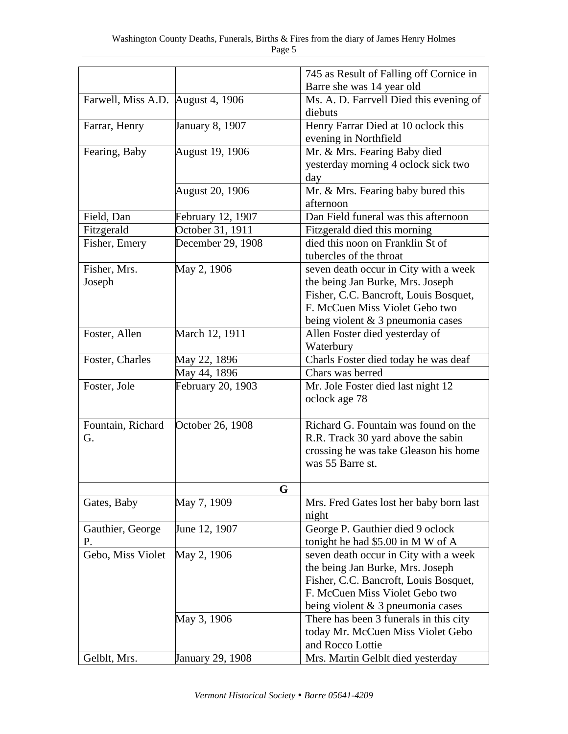|                                   |                         | 745 as Result of Falling off Cornice in |
|-----------------------------------|-------------------------|-----------------------------------------|
|                                   |                         | Barre she was 14 year old               |
| Farwell, Miss A.D. August 4, 1906 |                         | Ms. A. D. Farrvell Died this evening of |
|                                   |                         | diebuts                                 |
| Farrar, Henry                     | January 8, 1907         | Henry Farrar Died at 10 oclock this     |
|                                   |                         | evening in Northfield                   |
| Fearing, Baby                     | August 19, 1906         | Mr. & Mrs. Fearing Baby died            |
|                                   |                         | yesterday morning 4 oclock sick two     |
|                                   |                         | day                                     |
|                                   | August 20, 1906         | Mr. & Mrs. Fearing baby bured this      |
|                                   |                         | afternoon                               |
| Field, Dan                        | February 12, 1907       | Dan Field funeral was this afternoon    |
| Fitzgerald                        | October 31, 1911        | Fitzgerald died this morning            |
| Fisher, Emery                     | December 29, 1908       | died this noon on Franklin St of        |
|                                   |                         | tubercles of the throat                 |
| Fisher, Mrs.                      | May 2, 1906             | seven death occur in City with a week   |
| Joseph                            |                         | the being Jan Burke, Mrs. Joseph        |
|                                   |                         | Fisher, C.C. Bancroft, Louis Bosquet,   |
|                                   |                         | F. McCuen Miss Violet Gebo two          |
|                                   |                         | being violent $& 3$ pneumonia cases     |
| Foster, Allen                     |                         |                                         |
|                                   | March 12, 1911          | Allen Foster died yesterday of          |
|                                   |                         | Waterbury                               |
| Foster, Charles                   | May 22, 1896            | Charls Foster died today he was deaf    |
|                                   | May 44, 1896            | Chars was berred                        |
| Foster, Jole                      | February 20, 1903       | Mr. Jole Foster died last night 12      |
|                                   |                         | oclock age 78                           |
| Fountain, Richard                 | October 26, 1908        | Richard G. Fountain was found on the    |
| G.                                |                         | R.R. Track 30 yard above the sabin      |
|                                   |                         | crossing he was take Gleason his home   |
|                                   |                         | was 55 Barre st.                        |
|                                   |                         |                                         |
|                                   | G                       |                                         |
| Gates, Baby                       | May 7, 1909             | Mrs. Fred Gates lost her baby born last |
|                                   |                         | night                                   |
| Gauthier, George                  | June 12, 1907           | George P. Gauthier died 9 oclock        |
| Ρ.                                |                         | tonight he had \$5.00 in M W of A       |
| Gebo, Miss Violet                 | May 2, 1906             | seven death occur in City with a week   |
|                                   |                         | the being Jan Burke, Mrs. Joseph        |
|                                   |                         | Fisher, C.C. Bancroft, Louis Bosquet,   |
|                                   |                         | F. McCuen Miss Violet Gebo two          |
|                                   |                         | being violent $& 3$ pneumonia cases     |
|                                   | May 3, 1906             | There has been 3 funerals in this city  |
|                                   |                         | today Mr. McCuen Miss Violet Gebo       |
|                                   |                         | and Rocco Lottie                        |
| Gelblt, Mrs.                      | <b>January 29, 1908</b> | Mrs. Martin Gelblt died yesterday       |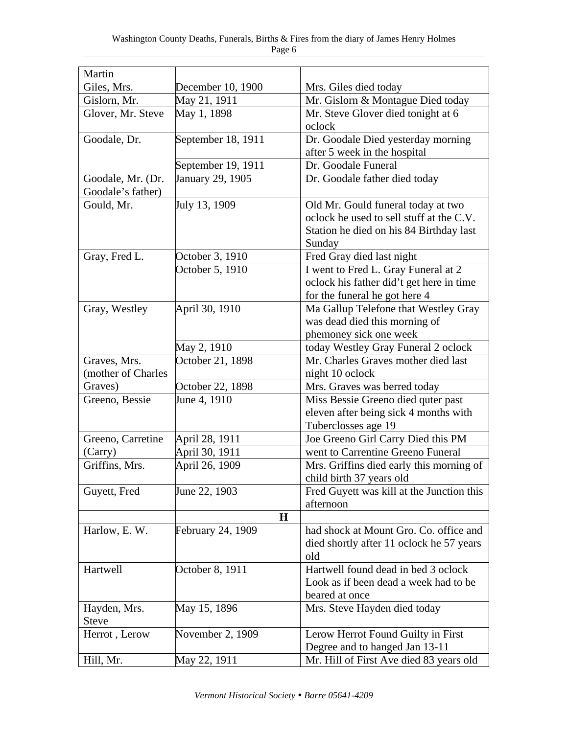| Martin             |                    |                                           |
|--------------------|--------------------|-------------------------------------------|
| Giles, Mrs.        | December 10, 1900  | Mrs. Giles died today                     |
| Gislorn, Mr.       | May 21, 1911       | Mr. Gislorn & Montague Died today         |
| Glover, Mr. Steve  | May 1, 1898        | Mr. Steve Glover died tonight at 6        |
|                    |                    | oclock                                    |
| Goodale, Dr.       | September 18, 1911 | Dr. Goodale Died yesterday morning        |
|                    |                    | after 5 week in the hospital              |
|                    | September 19, 1911 | Dr. Goodale Funeral                       |
| Goodale, Mr. (Dr.  | January 29, 1905   | Dr. Goodale father died today             |
| Goodale's father)  |                    |                                           |
| Gould, Mr.         | July 13, 1909      | Old Mr. Gould funeral today at two        |
|                    |                    | oclock he used to sell stuff at the C.V.  |
|                    |                    | Station he died on his 84 Birthday last   |
|                    |                    | Sunday                                    |
| Gray, Fred L.      | October 3, 1910    | Fred Gray died last night                 |
|                    | October 5, 1910    | I went to Fred L. Gray Funeral at 2       |
|                    |                    | oclock his father did't get here in time  |
|                    |                    | for the funeral he got here 4             |
| Gray, Westley      | April 30, 1910     | Ma Gallup Telefone that Westley Gray      |
|                    |                    | was dead died this morning of             |
|                    |                    | phemoney sick one week                    |
|                    | May 2, 1910        | today Westley Gray Funeral 2 oclock       |
| Graves, Mrs.       | October 21, 1898   | Mr. Charles Graves mother died last       |
| (mother of Charles |                    | night 10 oclock                           |
| Graves)            | October 22, 1898   | Mrs. Graves was berred today              |
| Greeno, Bessie     | June 4, 1910       | Miss Bessie Greeno died quter past        |
|                    |                    | eleven after being sick 4 months with     |
|                    |                    | Tuberclosses age 19                       |
| Greeno, Carretine  | April 28, 1911     | Joe Greeno Girl Carry Died this PM        |
| (Carry)            | April 30, 1911     | went to Carrentine Greeno Funeral         |
| Griffins, Mrs.     | April 26, 1909     | Mrs. Griffins died early this morning of  |
|                    |                    | child birth 37 years old                  |
| Guyett, Fred       | June 22, 1903      | Fred Guyett was kill at the Junction this |
|                    |                    | afternoon                                 |
|                    | $\bf H$            |                                           |
| Harlow, E. W.      | February 24, 1909  | had shock at Mount Gro. Co. office and    |
|                    |                    | died shortly after 11 oclock he 57 years  |
|                    |                    | old                                       |
| Hartwell           | October 8, 1911    | Hartwell found dead in bed 3 oclock       |
|                    |                    | Look as if been dead a week had to be     |
|                    |                    | beared at once                            |
| Hayden, Mrs.       | May 15, 1896       | Mrs. Steve Hayden died today              |
| <b>Steve</b>       |                    |                                           |
| Herrot, Lerow      | November 2, 1909   | Lerow Herrot Found Guilty in First        |
|                    |                    | Degree and to hanged Jan 13-11            |
|                    |                    |                                           |
| Hill, Mr.          | May 22, 1911       | Mr. Hill of First Ave died 83 years old   |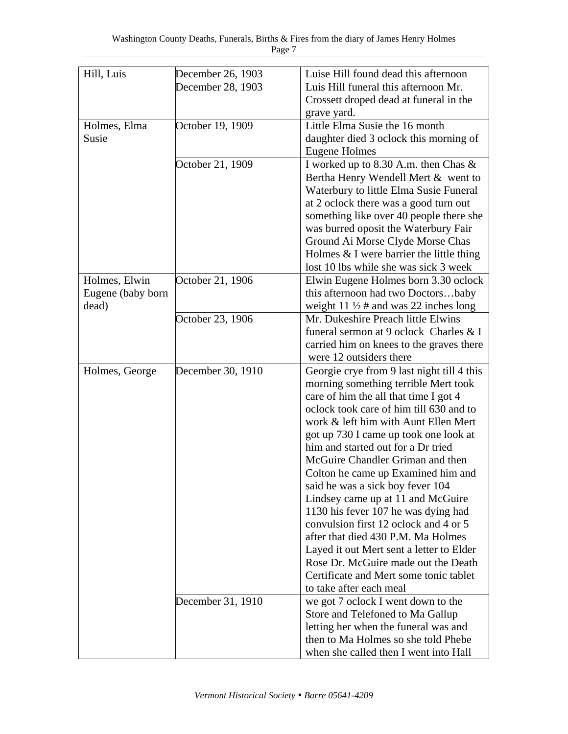| Hill, Luis                 | December 26, 1903 | Luise Hill found dead this afternoon                                                |
|----------------------------|-------------------|-------------------------------------------------------------------------------------|
|                            | December 28, 1903 | Luis Hill funeral this afternoon Mr.                                                |
|                            |                   | Crossett droped dead at funeral in the                                              |
|                            |                   | grave yard.                                                                         |
| Holmes, Elma               | October 19, 1909  | Little Elma Susie the 16 month                                                      |
| Susie                      |                   | daughter died 3 oclock this morning of                                              |
|                            |                   | Eugene Holmes                                                                       |
|                            | October 21, 1909  | I worked up to 8.30 A.m. then Chas $\&$                                             |
|                            |                   | Bertha Henry Wendell Mert & went to                                                 |
|                            |                   | Waterbury to little Elma Susie Funeral                                              |
|                            |                   | at 2 oclock there was a good turn out                                               |
|                            |                   | something like over 40 people there she                                             |
|                            |                   |                                                                                     |
|                            |                   | was burred oposit the Waterbury Fair                                                |
|                            |                   | Ground Ai Morse Clyde Morse Chas                                                    |
|                            |                   | Holmes $&$ I were barrier the little thing<br>lost 10 lbs while she was sick 3 week |
|                            |                   |                                                                                     |
| Holmes, Elwin              | October 21, 1906  | Elwin Eugene Holmes born 3.30 oclock                                                |
| Eugene (baby born<br>dead) |                   | this afternoon had two Doctorsbaby                                                  |
|                            |                   | weight 11 $\frac{1}{2}$ # and was 22 inches long                                    |
|                            | October 23, 1906  | Mr. Dukeshire Preach little Elwins<br>funeral sermon at 9 oclock Charles & I        |
|                            |                   |                                                                                     |
|                            |                   | carried him on knees to the graves there                                            |
|                            |                   | were 12 outsiders there                                                             |
| Holmes, George             | December 30, 1910 | Georgie crye from 9 last night till 4 this                                          |
|                            |                   | morning something terrible Mert took                                                |
|                            |                   | care of him the all that time I got 4                                               |
|                            |                   | oclock took care of him till 630 and to                                             |
|                            |                   | work & left him with Aunt Ellen Mert                                                |
|                            |                   | got up 730 I came up took one look at                                               |
|                            |                   | him and started out for a Dr tried                                                  |
|                            |                   | McGuire Chandler Griman and then                                                    |
|                            |                   | Colton he came up Examined him and                                                  |
|                            |                   | said he was a sick boy fever 104                                                    |
|                            |                   | Lindsey came up at 11 and McGuire                                                   |
|                            |                   | 1130 his fever 107 he was dying had                                                 |
|                            |                   | convulsion first 12 oclock and 4 or 5                                               |
|                            |                   | after that died 430 P.M. Ma Holmes                                                  |
|                            |                   | Layed it out Mert sent a letter to Elder                                            |
|                            |                   | Rose Dr. McGuire made out the Death                                                 |
|                            |                   | Certificate and Mert some tonic tablet                                              |
|                            |                   | to take after each meal                                                             |
|                            | December 31, 1910 | we got 7 oclock I went down to the                                                  |
|                            |                   | Store and Telefoned to Ma Gallup                                                    |
|                            |                   | letting her when the funeral was and                                                |
|                            |                   | then to Ma Holmes so she told Phebe                                                 |
|                            |                   | when she called then I went into Hall                                               |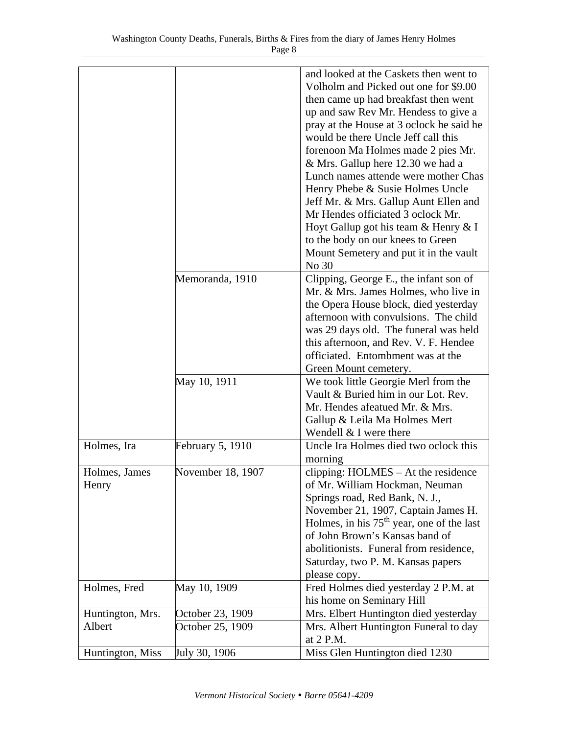|                            |                                      | and looked at the Caskets then went to<br>Volholm and Picked out one for \$9.00<br>then came up had breakfast then went<br>up and saw Rev Mr. Hendess to give a<br>pray at the House at 3 oclock he said he<br>would be there Uncle Jeff call this<br>forenoon Ma Holmes made 2 pies Mr.<br>& Mrs. Gallup here 12.30 we had a<br>Lunch names attende were mother Chas<br>Henry Phebe & Susie Holmes Uncle<br>Jeff Mr. & Mrs. Gallup Aunt Ellen and<br>Mr Hendes officiated 3 oclock Mr.<br>Hoyt Gallup got his team & Henry & I<br>to the body on our knees to Green<br>Mount Semetery and put it in the vault<br>No 30 |
|----------------------------|--------------------------------------|-------------------------------------------------------------------------------------------------------------------------------------------------------------------------------------------------------------------------------------------------------------------------------------------------------------------------------------------------------------------------------------------------------------------------------------------------------------------------------------------------------------------------------------------------------------------------------------------------------------------------|
|                            | Memoranda, 1910                      | Clipping, George E., the infant son of<br>Mr. & Mrs. James Holmes, who live in<br>the Opera House block, died yesterday<br>afternoon with convulsions. The child<br>was 29 days old. The funeral was held<br>this afternoon, and Rev. V. F. Hendee<br>officiated. Entombment was at the<br>Green Mount cemetery.                                                                                                                                                                                                                                                                                                        |
|                            | May 10, 1911                         | We took little Georgie Merl from the<br>Vault & Buried him in our Lot. Rev.<br>Mr. Hendes afeatued Mr. & Mrs.<br>Gallup & Leila Ma Holmes Mert<br>Wendell & I were there                                                                                                                                                                                                                                                                                                                                                                                                                                                |
| Holmes, Ira                | <b>February 5, 1910</b>              | Uncle Ira Holmes died two oclock this<br>morning                                                                                                                                                                                                                                                                                                                                                                                                                                                                                                                                                                        |
| Holmes, James<br>Henry     | November 18, 1907                    | clipping: HOLMES – At the residence<br>of Mr. William Hockman, Neuman<br>Springs road, Red Bank, N. J.,<br>November 21, 1907, Captain James H.<br>Holmes, in his $75th$ year, one of the last<br>of John Brown's Kansas band of<br>abolitionists. Funeral from residence,<br>Saturday, two P. M. Kansas papers<br>please copy.                                                                                                                                                                                                                                                                                          |
| Holmes, Fred               | May 10, 1909                         | Fred Holmes died yesterday 2 P.M. at<br>his home on Seminary Hill                                                                                                                                                                                                                                                                                                                                                                                                                                                                                                                                                       |
| Huntington, Mrs.<br>Albert | October 23, 1909<br>October 25, 1909 | Mrs. Elbert Huntington died yesterday<br>Mrs. Albert Huntington Funeral to day<br>at 2 P.M.                                                                                                                                                                                                                                                                                                                                                                                                                                                                                                                             |
| Huntington, Miss           | July 30, 1906                        | Miss Glen Huntington died 1230                                                                                                                                                                                                                                                                                                                                                                                                                                                                                                                                                                                          |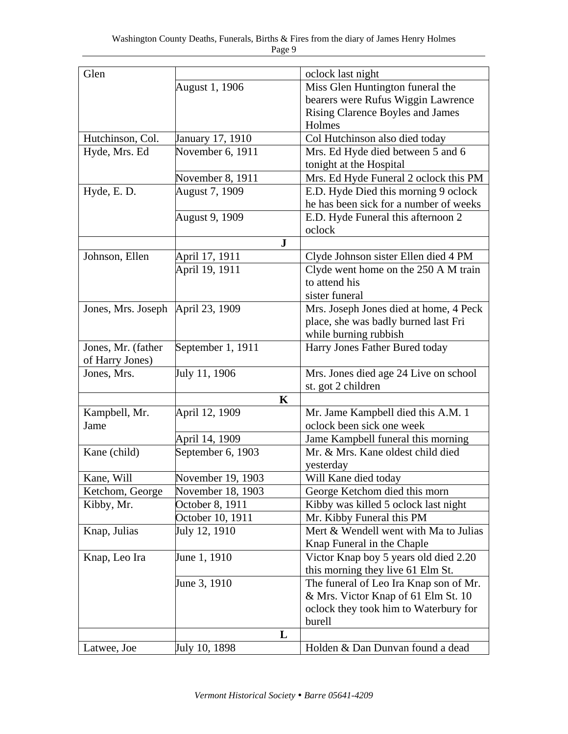| Glen                                |                   | oclock last night                      |
|-------------------------------------|-------------------|----------------------------------------|
|                                     | August 1, 1906    | Miss Glen Huntington funeral the       |
|                                     |                   | bearers were Rufus Wiggin Lawrence     |
|                                     |                   | Rising Clarence Boyles and James       |
|                                     |                   | Holmes                                 |
| Hutchinson, Col.                    | January 17, 1910  | Col Hutchinson also died today         |
| Hyde, Mrs. Ed                       | November 6, 1911  | Mrs. Ed Hyde died between 5 and 6      |
|                                     |                   | tonight at the Hospital                |
|                                     | November 8, 1911  | Mrs. Ed Hyde Funeral 2 oclock this PM  |
| Hyde, E.D.                          | August 7, 1909    | E.D. Hyde Died this morning 9 oclock   |
|                                     |                   | he has been sick for a number of weeks |
|                                     | August 9, 1909    | E.D. Hyde Funeral this afternoon 2     |
|                                     |                   | oclock                                 |
|                                     | $\bf J$           |                                        |
| Johnson, Ellen                      | April 17, 1911    | Clyde Johnson sister Ellen died 4 PM   |
|                                     | April 19, 1911    | Clyde went home on the 250 A M train   |
|                                     |                   | to attend his                          |
|                                     |                   | sister funeral                         |
| Jones, Mrs. Joseph   April 23, 1909 |                   | Mrs. Joseph Jones died at home, 4 Peck |
|                                     |                   | place, she was badly burned last Fri   |
|                                     |                   | while burning rubbish                  |
| Jones, Mr. (father                  | September 1, 1911 | Harry Jones Father Bured today         |
| of Harry Jones)                     |                   |                                        |
| Jones, Mrs.                         | July 11, 1906     | Mrs. Jones died age 24 Live on school  |
|                                     |                   | st. got 2 children                     |
|                                     | $\mathbf K$       |                                        |
| Kampbell, Mr.                       | April 12, 1909    | Mr. Jame Kampbell died this A.M. 1     |
| Jame                                |                   | oclock been sick one week              |
|                                     | April 14, 1909    | Jame Kampbell funeral this morning     |
| Kane (child)                        | September 6, 1903 | Mr. & Mrs. Kane oldest child died      |
|                                     |                   | yesterday                              |
| Kane, Will                          | November 19, 1903 | Will Kane died today                   |
| Ketchom, George                     | November 18, 1903 | George Ketchom died this morn          |
| Kibby, Mr.                          | October 8, 1911   | Kibby was killed 5 oclock last night   |
|                                     | October 10, 1911  | Mr. Kibby Funeral this PM              |
| Knap, Julias                        | July 12, 1910     | Mert & Wendell went with Ma to Julias  |
|                                     |                   | Knap Funeral in the Chaple             |
| Knap, Leo Ira                       | June 1, 1910      | Victor Knap boy 5 years old died 2.20  |
|                                     |                   | this morning they live 61 Elm St.      |
|                                     | June 3, 1910      | The funeral of Leo Ira Knap son of Mr. |
|                                     |                   | & Mrs. Victor Knap of 61 Elm St. 10    |
|                                     |                   | oclock they took him to Waterbury for  |
|                                     |                   | burell                                 |
|                                     | L                 |                                        |
| Latwee, Joe                         | July 10, 1898     | Holden & Dan Dunvan found a dead       |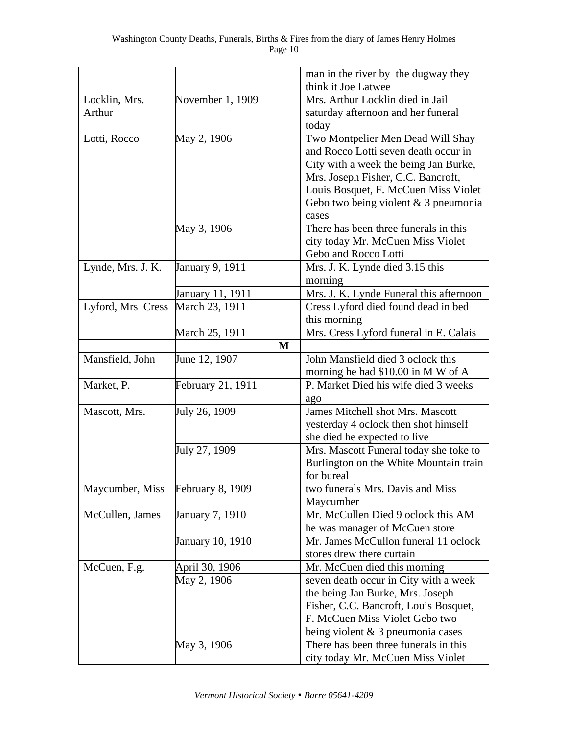|                   |                         | man in the river by the dugway they     |
|-------------------|-------------------------|-----------------------------------------|
|                   |                         | think it Joe Latwee                     |
| Locklin, Mrs.     | November 1, 1909        | Mrs. Arthur Locklin died in Jail        |
| Arthur            |                         | saturday afternoon and her funeral      |
|                   |                         | today                                   |
| Lotti, Rocco      | May 2, 1906             | Two Montpelier Men Dead Will Shay       |
|                   |                         | and Rocco Lotti seven death occur in    |
|                   |                         | City with a week the being Jan Burke,   |
|                   |                         | Mrs. Joseph Fisher, C.C. Bancroft,      |
|                   |                         | Louis Bosquet, F. McCuen Miss Violet    |
|                   |                         | Gebo two being violent $& 3$ pneumonia  |
|                   |                         | cases                                   |
|                   | May 3, 1906             | There has been three funerals in this   |
|                   |                         | city today Mr. McCuen Miss Violet       |
|                   |                         | Gebo and Rocco Lotti                    |
| Lynde, Mrs. J. K. | January 9, 1911         | Mrs. J. K. Lynde died 3.15 this         |
|                   |                         | morning                                 |
|                   | January 11, 1911        | Mrs. J. K. Lynde Funeral this afternoon |
| Lyford, Mrs Cress | March 23, 1911          | Cress Lyford died found dead in bed     |
|                   |                         | this morning                            |
|                   |                         | Mrs. Cress Lyford funeral in E. Calais  |
|                   | March 25, 1911          |                                         |
|                   | M                       |                                         |
| Mansfield, John   | June 12, 1907           | John Mansfield died 3 oclock this       |
|                   |                         | morning he had \$10.00 in M W of A      |
| Market, P.        | February 21, 1911       | P. Market Died his wife died 3 weeks    |
|                   |                         | ago                                     |
| Mascott, Mrs.     | July 26, 1909           | James Mitchell shot Mrs. Mascott        |
|                   |                         | yesterday 4 oclock then shot himself    |
|                   |                         | she died he expected to live            |
|                   | July 27, 1909           | Mrs. Mascott Funeral today she toke to  |
|                   |                         | Burlington on the White Mountain train  |
|                   |                         | for bureal                              |
| Maycumber, Miss   | <b>February 8, 1909</b> | two funerals Mrs. Davis and Miss        |
|                   |                         | Maycumber                               |
| McCullen, James   | January 7, 1910         | Mr. McCullen Died 9 oclock this AM      |
|                   |                         | he was manager of McCuen store          |
|                   | January 10, 1910        | Mr. James McCullon funeral 11 oclock    |
|                   |                         | stores drew there curtain               |
| McCuen, F.g.      | April 30, 1906          | Mr. McCuen died this morning            |
|                   | May 2, 1906             | seven death occur in City with a week   |
|                   |                         | the being Jan Burke, Mrs. Joseph        |
|                   |                         | Fisher, C.C. Bancroft, Louis Bosquet,   |
|                   |                         | F. McCuen Miss Violet Gebo two          |
|                   |                         | being violent $& 3$ pneumonia cases     |
|                   | May 3, 1906             | There has been three funerals in this   |
|                   |                         | city today Mr. McCuen Miss Violet       |
|                   |                         |                                         |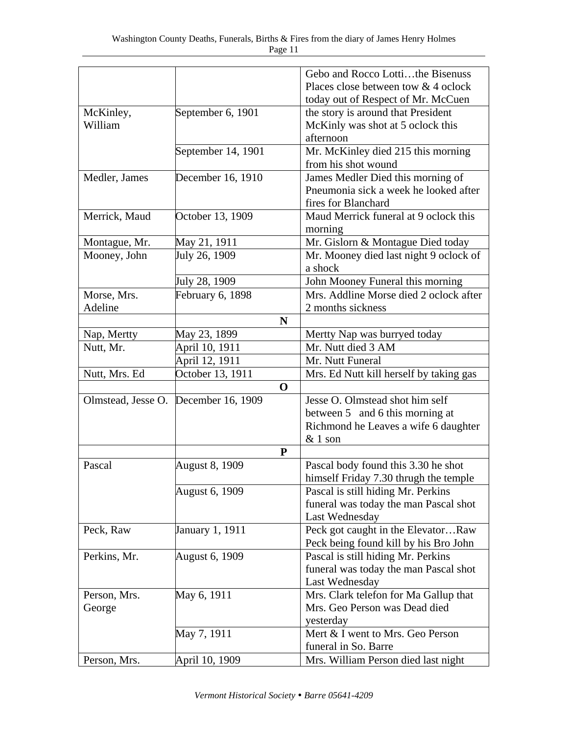|               |                                      | Gebo and Rocco Lottithe Bisenuss        |
|---------------|--------------------------------------|-----------------------------------------|
|               |                                      | Places close between tow & 4 oclock     |
|               |                                      | today out of Respect of Mr. McCuen      |
| McKinley,     | September 6, 1901                    | the story is around that President      |
| William       |                                      | McKinly was shot at 5 oclock this       |
|               |                                      | afternoon                               |
|               | September 14, 1901                   | Mr. McKinley died 215 this morning      |
|               |                                      | from his shot wound                     |
| Medler, James | December 16, 1910                    | James Medler Died this morning of       |
|               |                                      | Pneumonia sick a week he looked after   |
|               |                                      | fires for Blanchard                     |
| Merrick, Maud | October 13, 1909                     | Maud Merrick funeral at 9 oclock this   |
|               |                                      | morning                                 |
| Montague, Mr. | May 21, 1911                         | Mr. Gislorn & Montague Died today       |
| Mooney, John  | July 26, 1909                        | Mr. Mooney died last night 9 oclock of  |
|               |                                      | a shock                                 |
|               | July 28, 1909                        | John Mooney Funeral this morning        |
| Morse, Mrs.   | February 6, 1898                     | Mrs. Addline Morse died 2 oclock after  |
| Adeline       |                                      | 2 months sickness                       |
|               | N                                    |                                         |
| Nap, Mertty   | May 23, 1899                         | Mertty Nap was burryed today            |
| Nutt, Mr.     | April 10, 1911                       | Mr. Nutt died 3 AM                      |
|               | April 12, 1911                       | Mr. Nutt Funeral                        |
| Nutt, Mrs. Ed | October 13, 1911                     | Mrs. Ed Nutt kill herself by taking gas |
|               | $\mathbf 0$                          |                                         |
|               | Olmstead, Jesse O. December 16, 1909 | Jesse O. Olmstead shot him self         |
|               |                                      | between 5 and 6 this morning at         |
|               |                                      | Richmond he Leaves a wife 6 daughter    |
|               |                                      | $&$ 1 son                               |
|               | P                                    |                                         |
| Pascal        | <b>August 8, 1909</b>                | Pascal body found this 3.30 he shot     |
|               |                                      | himself Friday 7.30 thrugh the temple   |
|               | <b>August 6, 1909</b>                | Pascal is still hiding Mr. Perkins      |
|               |                                      | funeral was today the man Pascal shot   |
|               |                                      | Last Wednesday                          |
| Peck, Raw     | January 1, 1911                      | Peck got caught in the ElevatorRaw      |
|               |                                      | Peck being found kill by his Bro John   |
| Perkins, Mr.  | <b>August 6, 1909</b>                | Pascal is still hiding Mr. Perkins      |
|               |                                      | funeral was today the man Pascal shot   |
|               |                                      | Last Wednesday                          |
| Person, Mrs.  | May 6, 1911                          | Mrs. Clark telefon for Ma Gallup that   |
| George        |                                      | Mrs. Geo Person was Dead died           |
|               |                                      | yesterday                               |
|               | May 7, 1911                          | Mert & I went to Mrs. Geo Person        |
|               |                                      | funeral in So. Barre                    |
| Person, Mrs.  | April 10, 1909                       | Mrs. William Person died last night     |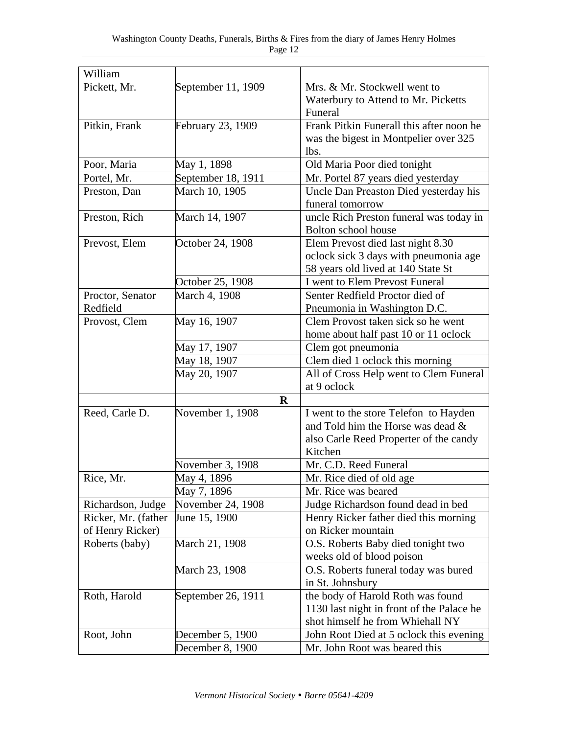| William             |                    |                                           |
|---------------------|--------------------|-------------------------------------------|
| Pickett, Mr.        | September 11, 1909 | Mrs. & Mr. Stockwell went to              |
|                     |                    | Waterbury to Attend to Mr. Picketts       |
|                     |                    | Funeral                                   |
| Pitkin, Frank       | February 23, 1909  | Frank Pitkin Funerall this after noon he  |
|                     |                    | was the bigest in Montpelier over 325     |
|                     |                    | lbs.                                      |
| Poor, Maria         | May 1, 1898        | Old Maria Poor died tonight               |
| Portel, Mr.         | September 18, 1911 | Mr. Portel 87 years died yesterday        |
| Preston, Dan        | March 10, 1905     | Uncle Dan Preaston Died yesterday his     |
|                     |                    | funeral tomorrow                          |
| Preston, Rich       | March 14, 1907     | uncle Rich Preston funeral was today in   |
|                     |                    | Bolton school house                       |
| Prevost, Elem       | October 24, 1908   | Elem Prevost died last night 8.30         |
|                     |                    | oclock sick 3 days with pneumonia age     |
|                     |                    | 58 years old lived at 140 State St        |
|                     | October 25, 1908   | I went to Elem Prevost Funeral            |
| Proctor, Senator    | March 4, 1908      | Senter Redfield Proctor died of           |
| Redfield            |                    | Pneumonia in Washington D.C.              |
| Provost, Clem       | May 16, 1907       | Clem Provost taken sick so he went        |
|                     |                    | home about half past 10 or 11 oclock      |
|                     | May 17, 1907       | Clem got pneumonia                        |
|                     | May 18, 1907       | Clem died 1 oclock this morning           |
|                     | May 20, 1907       | All of Cross Help went to Clem Funeral    |
|                     |                    | at 9 oclock                               |
|                     | $\bf R$            |                                           |
| Reed, Carle D.      | November 1, 1908   | I went to the store Telefon to Hayden     |
|                     |                    | and Told him the Horse was dead &         |
|                     |                    | also Carle Reed Properter of the candy    |
|                     |                    | Kitchen                                   |
|                     | November 3, 1908   | Mr. C.D. Reed Funeral                     |
| Rice, Mr.           | May 4, 1896        | Mr. Rice died of old age                  |
|                     | May 7, 1896        | Mr. Rice was beared                       |
| Richardson, Judge   | November 24, 1908  | Judge Richardson found dead in bed        |
| Ricker, Mr. (father | June 15, 1900      | Henry Ricker father died this morning     |
| of Henry Ricker)    |                    | on Ricker mountain                        |
| Roberts (baby)      | March 21, 1908     | O.S. Roberts Baby died tonight two        |
|                     |                    | weeks old of blood poison                 |
|                     | March 23, 1908     | O.S. Roberts funeral today was bured      |
|                     |                    | in St. Johnsbury                          |
| Roth, Harold        | September 26, 1911 | the body of Harold Roth was found         |
|                     |                    | 1130 last night in front of the Palace he |
|                     |                    | shot himself he from Whiehall NY          |
| Root, John          | December 5, 1900   | John Root Died at 5 oclock this evening   |
|                     | December 8, 1900   | Mr. John Root was beared this             |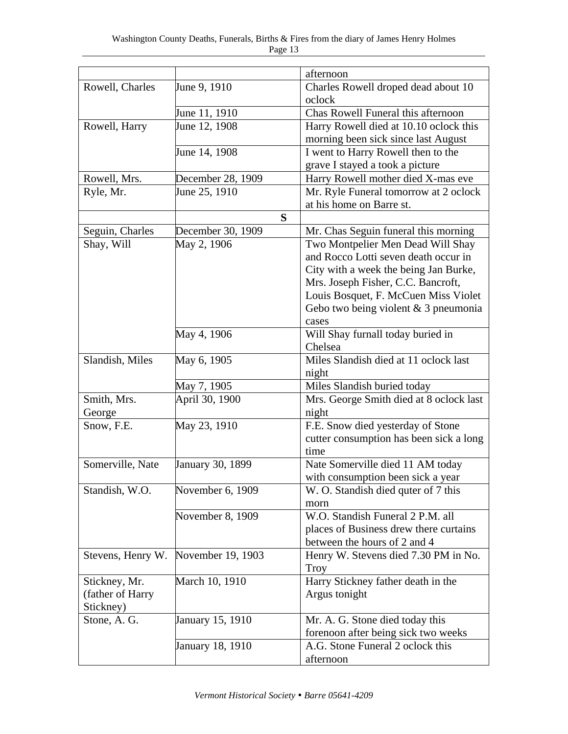|                   |                   | afternoon                               |
|-------------------|-------------------|-----------------------------------------|
| Rowell, Charles   | June 9, 1910      | Charles Rowell droped dead about 10     |
|                   |                   | oclock                                  |
|                   | June 11, 1910     | Chas Rowell Funeral this afternoon      |
| Rowell, Harry     | June 12, 1908     | Harry Rowell died at 10.10 oclock this  |
|                   |                   | morning been sick since last August     |
|                   | June 14, 1908     | I went to Harry Rowell then to the      |
|                   |                   | grave I stayed a took a picture         |
| Rowell, Mrs.      | December 28, 1909 | Harry Rowell mother died X-mas eve      |
| Ryle, Mr.         | June 25, 1910     | Mr. Ryle Funeral tomorrow at 2 oclock   |
|                   |                   | at his home on Barre st.                |
|                   | S                 |                                         |
| Seguin, Charles   | December 30, 1909 | Mr. Chas Seguin funeral this morning    |
| Shay, Will        | May 2, 1906       | Two Montpelier Men Dead Will Shay       |
|                   |                   | and Rocco Lotti seven death occur in    |
|                   |                   | City with a week the being Jan Burke,   |
|                   |                   | Mrs. Joseph Fisher, C.C. Bancroft,      |
|                   |                   | Louis Bosquet, F. McCuen Miss Violet    |
|                   |                   | Gebo two being violent $& 3$ pneumonia  |
|                   |                   |                                         |
|                   |                   | cases                                   |
|                   | May 4, 1906       | Will Shay furnall today buried in       |
|                   |                   | Chelsea                                 |
| Slandish, Miles   | May 6, 1905       | Miles Slandish died at 11 oclock last   |
|                   |                   | night                                   |
|                   | May 7, 1905       | Miles Slandish buried today             |
| Smith, Mrs.       | April 30, 1900    | Mrs. George Smith died at 8 oclock last |
| George            |                   | night                                   |
| Snow, F.E.        | May 23, 1910      | F.E. Snow died yesterday of Stone       |
|                   |                   | cutter consumption has been sick a long |
|                   |                   | time                                    |
| Somerville, Nate  | January 30, 1899  | Nate Somerville died 11 AM today        |
|                   |                   | with consumption been sick a year       |
| Standish, W.O.    | November 6, 1909  | W. O. Standish died quter of 7 this     |
|                   |                   | morn                                    |
|                   | November 8, 1909  | W.O. Standish Funeral 2 P.M. all        |
|                   |                   | places of Business drew there curtains  |
|                   |                   | between the hours of 2 and 4            |
| Stevens, Henry W. | November 19, 1903 | Henry W. Stevens died 7.30 PM in No.    |
|                   |                   | Troy                                    |
| Stickney, Mr.     | March 10, 1910    | Harry Stickney father death in the      |
| (father of Harry  |                   | Argus tonight                           |
| Stickney)         |                   |                                         |
| Stone, A. G.      | January 15, 1910  | Mr. A. G. Stone died today this         |
|                   |                   | forenoon after being sick two weeks     |
|                   | January 18, 1910  | A.G. Stone Funeral 2 oclock this        |
|                   |                   | afternoon                               |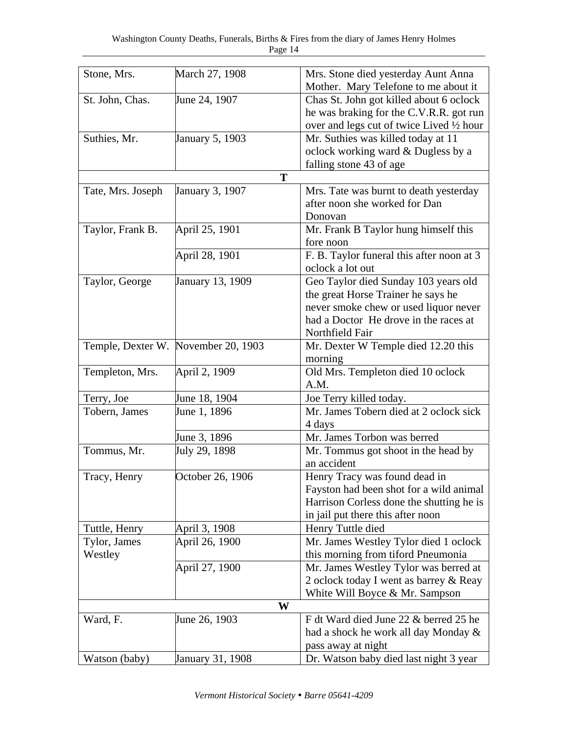| Stone, Mrs.       | March 27, 1908                      | Mrs. Stone died yesterday Aunt Anna       |
|-------------------|-------------------------------------|-------------------------------------------|
|                   |                                     | Mother. Mary Telefone to me about it      |
| St. John, Chas.   | June 24, 1907                       | Chas St. John got killed about 6 oclock   |
|                   |                                     | he was braking for the C.V.R.R. got run   |
|                   |                                     | over and legs cut of twice Lived 1/2 hour |
| Suthies, Mr.      | <b>January 5, 1903</b>              | Mr. Suthies was killed today at 11        |
|                   |                                     | oclock working ward & Dugless by a        |
|                   |                                     | falling stone 43 of age                   |
|                   | T                                   |                                           |
| Tate, Mrs. Joseph | January 3, 1907                     | Mrs. Tate was burnt to death yesterday    |
|                   |                                     | after noon she worked for Dan             |
|                   |                                     | Donovan                                   |
| Taylor, Frank B.  | April 25, 1901                      | Mr. Frank B Taylor hung himself this      |
|                   |                                     | fore noon                                 |
|                   | April 28, 1901                      | F. B. Taylor funeral this after noon at 3 |
|                   |                                     | oclock a lot out                          |
| Taylor, George    | January 13, 1909                    | Geo Taylor died Sunday 103 years old      |
|                   |                                     | the great Horse Trainer he says he        |
|                   |                                     | never smoke chew or used liquor never     |
|                   |                                     | had a Doctor He drove in the races at     |
|                   |                                     | Northfield Fair                           |
|                   | Temple, Dexter W. November 20, 1903 | Mr. Dexter W Temple died 12.20 this       |
|                   |                                     | morning                                   |
| Templeton, Mrs.   | April 2, 1909                       | Old Mrs. Templeton died 10 oclock         |
|                   |                                     | A.M.                                      |
| Terry, Joe        | June 18, 1904                       | Joe Terry killed today.                   |
| Tobern, James     | June 1, 1896                        | Mr. James Tobern died at 2 oclock sick    |
|                   |                                     | 4 days                                    |
|                   | June 3, 1896                        | Mr. James Torbon was berred               |
| Tommus, Mr.       | July 29, 1898                       | Mr. Tommus got shoot in the head by       |
|                   |                                     | an accident                               |
| Tracy, Henry      | October 26, 1906                    | Henry Tracy was found dead in             |
|                   |                                     | Fayston had been shot for a wild animal   |
|                   |                                     | Harrison Corless done the shutting he is  |
|                   |                                     | in jail put there this after noon         |
| Tuttle, Henry     | April 3, 1908                       | Henry Tuttle died                         |
| Tylor, James      | April 26, 1900                      | Mr. James Westley Tylor died 1 oclock     |
| Westley           |                                     | this morning from tiford Pneumonia        |
|                   | April 27, 1900                      | Mr. James Westley Tylor was berred at     |
|                   |                                     | 2 oclock today I went as barrey & Reay    |
|                   |                                     | White Will Boyce & Mr. Sampson            |
|                   | W                                   |                                           |
| Ward, F.          | June 26, 1903                       | F dt Ward died June 22 & berred 25 he     |
|                   |                                     | had a shock he work all day Monday &      |
|                   |                                     | pass away at night                        |
| Watson (baby)     | January 31, 1908                    | Dr. Watson baby died last night 3 year    |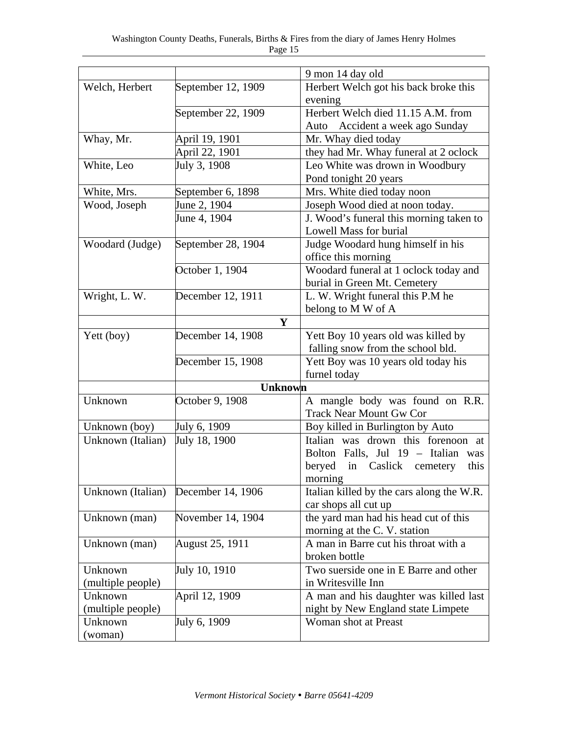|                   |                    | 9 mon 14 day old                                                  |
|-------------------|--------------------|-------------------------------------------------------------------|
|                   | September 12, 1909 |                                                                   |
| Welch, Herbert    |                    | Herbert Welch got his back broke this                             |
|                   |                    | evening<br>Herbert Welch died 11.15 A.M. from                     |
|                   | September 22, 1909 |                                                                   |
|                   |                    | Auto Accident a week ago Sunday                                   |
| Whay, Mr.         | April 19, 1901     | Mr. Whay died today                                               |
|                   | April 22, 1901     | they had Mr. Whay funeral at 2 oclock                             |
| White, Leo        | July 3, 1908       | Leo White was drown in Woodbury                                   |
| White, Mrs.       | September 6, 1898  | Pond tonight 20 years<br>Mrs. White died today noon               |
| Wood, Joseph      | June 2, 1904       | Joseph Wood died at noon today.                                   |
|                   | June 4, 1904       |                                                                   |
|                   |                    | J. Wood's funeral this morning taken to<br>Lowell Mass for burial |
|                   |                    |                                                                   |
| Woodard (Judge)   | September 28, 1904 | Judge Woodard hung himself in his                                 |
|                   |                    | office this morning                                               |
|                   | October 1, 1904    | Woodard funeral at 1 oclock today and                             |
|                   |                    | burial in Green Mt. Cemetery                                      |
| Wright, L. W.     | December 12, 1911  | L. W. Wright funeral this P.M he                                  |
|                   |                    | belong to M W of A                                                |
|                   | Y                  |                                                                   |
| Yett (boy)        | December 14, 1908  | Yett Boy 10 years old was killed by                               |
|                   |                    | falling snow from the school bld.                                 |
|                   | December 15, 1908  | Yett Boy was 10 years old today his                               |
|                   |                    | furnel today                                                      |
|                   | <b>Unknown</b>     |                                                                   |
| Unknown           | October 9, 1908    | A mangle body was found on R.R.                                   |
|                   |                    | <b>Track Near Mount Gw Cor</b>                                    |
| Unknown (boy)     | July 6, 1909       | Boy killed in Burlington by Auto                                  |
| Unknown (Italian) | July 18, 1900      | Italian was drown this forenoon at                                |
|                   |                    | Bolton Falls, Jul 19 - Italian<br>was                             |
|                   |                    | beryed in Caslick cemetery<br>this                                |
|                   |                    | morning                                                           |
| Unknown (Italian) | December 14, 1906  | Italian killed by the cars along the W.R.                         |
|                   |                    | car shops all cut up                                              |
| Unknown (man)     | November 14, 1904  | the yard man had his head cut of this                             |
|                   |                    | morning at the C. V. station                                      |
| Unknown (man)     | August 25, 1911    | A man in Barre cut his throat with a                              |
|                   |                    | broken bottle                                                     |
| Unknown           | July 10, 1910      | Two suerside one in E Barre and other                             |
| (multiple people) |                    | in Writesville Inn                                                |
| Unknown           | April 12, 1909     | A man and his daughter was killed last                            |
| (multiple people) |                    | night by New England state Limpete                                |
| Unknown           | July 6, 1909       | Woman shot at Preast                                              |
| (woman)           |                    |                                                                   |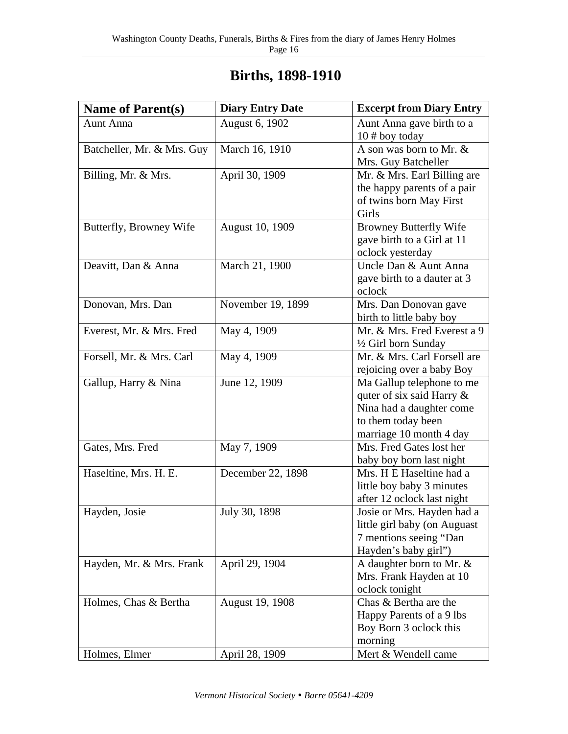| <b>Name of Parent(s)</b>   | <b>Diary Entry Date</b> | <b>Excerpt from Diary Entry</b>                                                                                                     |
|----------------------------|-------------------------|-------------------------------------------------------------------------------------------------------------------------------------|
| <b>Aunt Anna</b>           | August 6, 1902          | Aunt Anna gave birth to a<br>$10#$ boy today                                                                                        |
| Batcheller, Mr. & Mrs. Guy | March 16, 1910          | A son was born to Mr. &<br>Mrs. Guy Batcheller                                                                                      |
| Billing, Mr. & Mrs.        | April 30, 1909          | Mr. & Mrs. Earl Billing are<br>the happy parents of a pair<br>of twins born May First<br>Girls                                      |
| Butterfly, Browney Wife    | August 10, 1909         | <b>Browney Butterfly Wife</b><br>gave birth to a Girl at 11<br>oclock yesterday                                                     |
| Deavitt, Dan & Anna        | March 21, 1900          | Uncle Dan & Aunt Anna<br>gave birth to a dauter at 3<br>oclock                                                                      |
| Donovan, Mrs. Dan          | November 19, 1899       | Mrs. Dan Donovan gave<br>birth to little baby boy                                                                                   |
| Everest, Mr. & Mrs. Fred   | May 4, 1909             | Mr. & Mrs. Fred Everest a 9<br>1/2 Girl born Sunday                                                                                 |
| Forsell, Mr. & Mrs. Carl   | May 4, 1909             | Mr. & Mrs. Carl Forsell are<br>rejoicing over a baby Boy                                                                            |
| Gallup, Harry & Nina       | June 12, 1909           | Ma Gallup telephone to me<br>quter of six said Harry &<br>Nina had a daughter come<br>to them today been<br>marriage 10 month 4 day |
| Gates, Mrs. Fred           | May 7, 1909             | Mrs. Fred Gates lost her<br>baby boy born last night                                                                                |
| Haseltine, Mrs. H. E.      | December 22, 1898       | Mrs. H E Haseltine had a<br>little boy baby 3 minutes<br>after 12 oclock last night                                                 |
| Hayden, Josie              | July 30, 1898           | Josie or Mrs. Hayden had a<br>little girl baby (on Auguast<br>7 mentions seeing "Dan<br>Hayden's baby girl")                        |
| Hayden, Mr. & Mrs. Frank   | April 29, 1904          | A daughter born to Mr. &<br>Mrs. Frank Hayden at 10<br>oclock tonight                                                               |
| Holmes, Chas & Bertha      | August 19, 1908         | Chas & Bertha are the<br>Happy Parents of a 9 lbs<br>Boy Born 3 oclock this<br>morning                                              |
| Holmes, Elmer              | April 28, 1909          | Mert & Wendell came                                                                                                                 |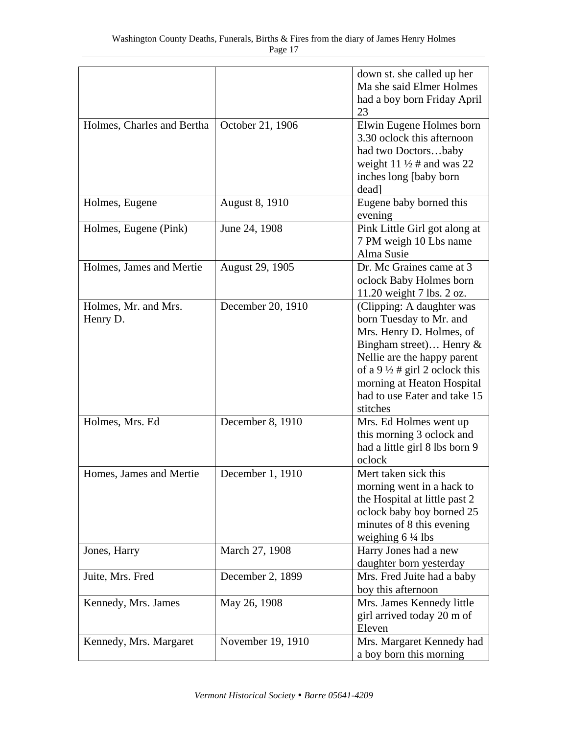|                                  |                   | down st. she called up her<br>Ma she said Elmer Holmes<br>had a boy born Friday April<br>23                                                                                                                                                                          |
|----------------------------------|-------------------|----------------------------------------------------------------------------------------------------------------------------------------------------------------------------------------------------------------------------------------------------------------------|
| Holmes, Charles and Bertha       | October 21, 1906  | Elwin Eugene Holmes born<br>3.30 oclock this afternoon<br>had two Doctorsbaby<br>weight 11 $\frac{1}{2}$ # and was 22<br>inches long [baby born]<br>dead]                                                                                                            |
| Holmes, Eugene                   | August 8, 1910    | Eugene baby borned this<br>evening                                                                                                                                                                                                                                   |
| Holmes, Eugene (Pink)            | June 24, 1908     | Pink Little Girl got along at<br>7 PM weigh 10 Lbs name<br>Alma Susie                                                                                                                                                                                                |
| Holmes, James and Mertie         | August 29, 1905   | Dr. Mc Graines came at 3<br>oclock Baby Holmes born<br>11.20 weight 7 lbs. 2 oz.                                                                                                                                                                                     |
| Holmes, Mr. and Mrs.<br>Henry D. | December 20, 1910 | (Clipping: A daughter was<br>born Tuesday to Mr. and<br>Mrs. Henry D. Holmes, of<br>Bingham street) Henry $\&$<br>Nellie are the happy parent<br>of a 9 $\frac{1}{2}$ # girl 2 oclock this<br>morning at Heaton Hospital<br>had to use Eater and take 15<br>stitches |
| Holmes, Mrs. Ed                  | December 8, 1910  | Mrs. Ed Holmes went up<br>this morning 3 oclock and<br>had a little girl 8 lbs born 9<br>oclock                                                                                                                                                                      |
| Homes, James and Mertie          | December 1, 1910  | Mert taken sick this<br>morning went in a hack to<br>the Hospital at little past 2<br>oclock baby boy borned 25<br>minutes of 8 this evening<br>weighing $6\frac{1}{4}$ lbs                                                                                          |
| Jones, Harry                     | March 27, 1908    | Harry Jones had a new<br>daughter born yesterday                                                                                                                                                                                                                     |
| Juite, Mrs. Fred                 | December 2, 1899  | Mrs. Fred Juite had a baby<br>boy this afternoon                                                                                                                                                                                                                     |
| Kennedy, Mrs. James              | May 26, 1908      | Mrs. James Kennedy little<br>girl arrived today 20 m of<br>Eleven                                                                                                                                                                                                    |
| Kennedy, Mrs. Margaret           | November 19, 1910 | Mrs. Margaret Kennedy had<br>a boy born this morning                                                                                                                                                                                                                 |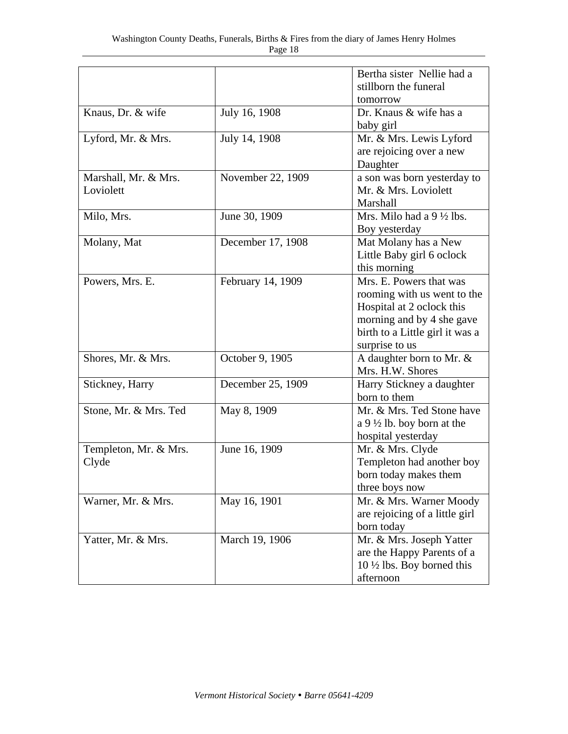|                       |                   | Bertha sister Nellie had a            |
|-----------------------|-------------------|---------------------------------------|
|                       |                   | stillborn the funeral                 |
|                       |                   | tomorrow                              |
| Knaus, Dr. & wife     | July 16, 1908     | Dr. Knaus & wife has a                |
|                       |                   | baby girl                             |
| Lyford, Mr. & Mrs.    | July 14, 1908     | Mr. & Mrs. Lewis Lyford               |
|                       |                   | are rejoicing over a new              |
|                       |                   | Daughter                              |
| Marshall, Mr. & Mrs.  | November 22, 1909 | a son was born yesterday to           |
| Loviolett             |                   | Mr. & Mrs. Loviolett                  |
|                       |                   | Marshall                              |
| Milo, Mrs.            | June 30, 1909     | Mrs. Milo had a $9\frac{1}{2}$ lbs.   |
|                       |                   | Boy yesterday                         |
| Molany, Mat           | December 17, 1908 | Mat Molany has a New                  |
|                       |                   | Little Baby girl 6 oclock             |
|                       |                   | this morning                          |
| Powers, Mrs. E.       | February 14, 1909 | Mrs. E. Powers that was               |
|                       |                   | rooming with us went to the           |
|                       |                   |                                       |
|                       |                   | Hospital at 2 oclock this             |
|                       |                   | morning and by 4 she gave             |
|                       |                   | birth to a Little girl it was a       |
|                       |                   | surprise to us                        |
| Shores, Mr. & Mrs.    | October 9, 1905   | A daughter born to Mr. &              |
|                       |                   | Mrs. H.W. Shores                      |
| Stickney, Harry       | December 25, 1909 | Harry Stickney a daughter             |
|                       |                   | born to them                          |
| Stone, Mr. & Mrs. Ted | May 8, 1909       | Mr. & Mrs. Ted Stone have             |
|                       |                   | a 9 $\frac{1}{2}$ lb. boy born at the |
|                       |                   | hospital yesterday                    |
| Templeton, Mr. & Mrs. | June 16, 1909     | Mr. & Mrs. Clyde                      |
| Clyde                 |                   | Templeton had another boy             |
|                       |                   | born today makes them                 |
|                       |                   | three boys now                        |
| Warner, Mr. & Mrs.    | May 16, 1901      | Mr. & Mrs. Warner Moody               |
|                       |                   | are rejoicing of a little girl        |
|                       |                   | born today                            |
| Yatter, Mr. & Mrs.    | March 19, 1906    | Mr. & Mrs. Joseph Yatter              |
|                       |                   | are the Happy Parents of a            |
|                       |                   | $10 \frac{1}{2}$ lbs. Boy borned this |
|                       |                   | afternoon                             |
|                       |                   |                                       |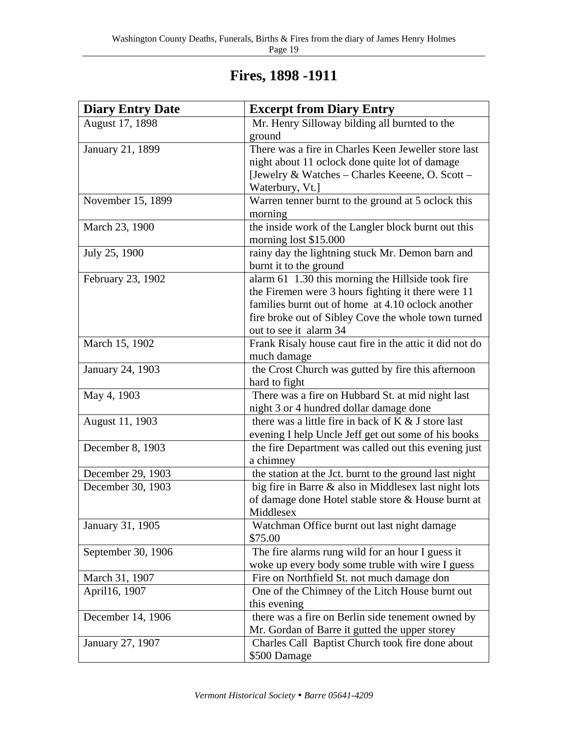| Fires, 1898 -1911 |  |  |  |
|-------------------|--|--|--|
|-------------------|--|--|--|

| <b>Diary Entry Date</b> | <b>Excerpt from Diary Entry</b>                         |
|-------------------------|---------------------------------------------------------|
| August 17, 1898         | Mr. Henry Silloway bilding all burnted to the           |
|                         | ground                                                  |
| January 21, 1899        | There was a fire in Charles Keen Jeweller store last    |
|                         | night about 11 oclock done quite lot of damage          |
|                         | [Jewelry & Watches - Charles Keeene, O. Scott -         |
|                         | Waterbury, Vt.]                                         |
| November 15, 1899       | Warren tenner burnt to the ground at 5 oclock this      |
|                         | morning                                                 |
| March 23, 1900          | the inside work of the Langler block burnt out this     |
|                         | morning lost \$15.000                                   |
| July 25, 1900           | rainy day the lightning stuck Mr. Demon barn and        |
|                         | burnt it to the ground                                  |
| February 23, 1902       | alarm 61 1.30 this morning the Hillside took fire       |
|                         | the Firemen were 3 hours fighting it there were 11      |
|                         | families burnt out of home at 4.10 oclock another       |
|                         | fire broke out of Sibley Cove the whole town turned     |
|                         | out to see it alarm 34                                  |
| March 15, 1902          | Frank Risaly house caut fire in the attic it did not do |
|                         | much damage                                             |
| January 24, 1903        | the Crost Church was gutted by fire this afternoon      |
|                         | hard to fight                                           |
| May 4, 1903             | There was a fire on Hubbard St. at mid night last       |
|                         | night 3 or 4 hundred dollar damage done                 |
| August 11, 1903         | there was a little fire in back of $K & J$ store last   |
|                         | evening I help Uncle Jeff get out some of his books     |
| December 8, 1903        | the fire Department was called out this evening just    |
|                         | a chimney                                               |
| December 29, 1903       | the station at the Jct. burnt to the ground last night  |
| December 30, 1903       | big fire in Barre & also in Middlesex last night lots   |
|                         | of damage done Hotel stable store & House burnt at      |
|                         | Middlesex                                               |
| January 31, 1905        | Watchman Office burnt out last night damage             |
|                         | \$75.00                                                 |
| September 30, 1906      | The fire alarms rung wild for an hour I guess it        |
|                         | woke up every body some truble with wire I guess        |
| March 31, 1907          | Fire on Northfield St. not much damage don              |
| April16, 1907           | One of the Chimney of the Litch House burnt out         |
|                         | this evening                                            |
| December 14, 1906       | there was a fire on Berlin side tenement owned by       |
|                         | Mr. Gordan of Barre it gutted the upper storey          |
| January 27, 1907        | Charles Call Baptist Church took fire done about        |
|                         | \$500 Damage                                            |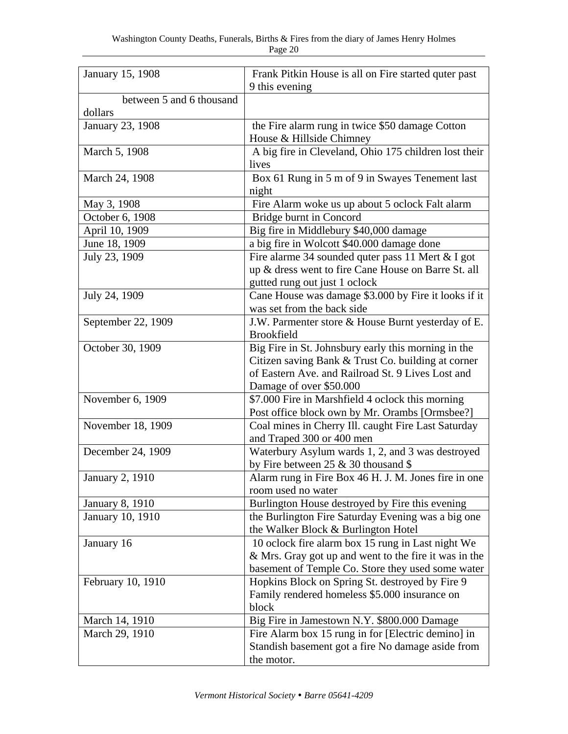| Frank Pitkin House is all on Fire started quter past                                                       |
|------------------------------------------------------------------------------------------------------------|
| 9 this evening                                                                                             |
|                                                                                                            |
|                                                                                                            |
| the Fire alarm rung in twice \$50 damage Cotton                                                            |
| House & Hillside Chimney                                                                                   |
| A big fire in Cleveland, Ohio 175 children lost their                                                      |
| lives                                                                                                      |
| Box 61 Rung in 5 m of 9 in Swayes Tenement last                                                            |
| night                                                                                                      |
| Fire Alarm woke us up about 5 oclock Falt alarm                                                            |
| Bridge burnt in Concord                                                                                    |
| Big fire in Middlebury \$40,000 damage                                                                     |
| a big fire in Wolcott \$40.000 damage done                                                                 |
| Fire alarme 34 sounded quter pass 11 Mert & I got                                                          |
| up & dress went to fire Cane House on Barre St. all                                                        |
| gutted rung out just 1 oclock                                                                              |
| Cane House was damage \$3.000 by Fire it looks if it                                                       |
| was set from the back side                                                                                 |
| J.W. Parmenter store & House Burnt yesterday of E.                                                         |
| <b>Brookfield</b>                                                                                          |
| Big Fire in St. Johnsbury early this morning in the                                                        |
| Citizen saving Bank & Trust Co. building at corner                                                         |
| of Eastern Ave. and Railroad St. 9 Lives Lost and                                                          |
| Damage of over \$50.000                                                                                    |
| \$7.000 Fire in Marshfield 4 oclock this morning                                                           |
| Post office block own by Mr. Orambs [Ormsbee?]                                                             |
| Coal mines in Cherry III. caught Fire Last Saturday                                                        |
| and Traped 300 or 400 men                                                                                  |
| Waterbury Asylum wards 1, 2, and 3 was destroyed                                                           |
| by Fire between $25 \& 30$ thousand \$                                                                     |
| Alarm rung in Fire Box 46 H. J. M. Jones fire in one                                                       |
| room used no water                                                                                         |
| Burlington House destroyed by Fire this evening                                                            |
| the Burlington Fire Saturday Evening was a big one                                                         |
| the Walker Block & Burlington Hotel                                                                        |
| 10 oclock fire alarm box 15 rung in Last night We<br>& Mrs. Gray got up and went to the fire it was in the |
| basement of Temple Co. Store they used some water                                                          |
| Hopkins Block on Spring St. destroyed by Fire 9                                                            |
|                                                                                                            |
|                                                                                                            |
| Family rendered homeless \$5.000 insurance on                                                              |
| block                                                                                                      |
| Big Fire in Jamestown N.Y. \$800.000 Damage                                                                |
| Fire Alarm box 15 rung in for [Electric demino] in<br>Standish basement got a fire No damage aside from    |
|                                                                                                            |